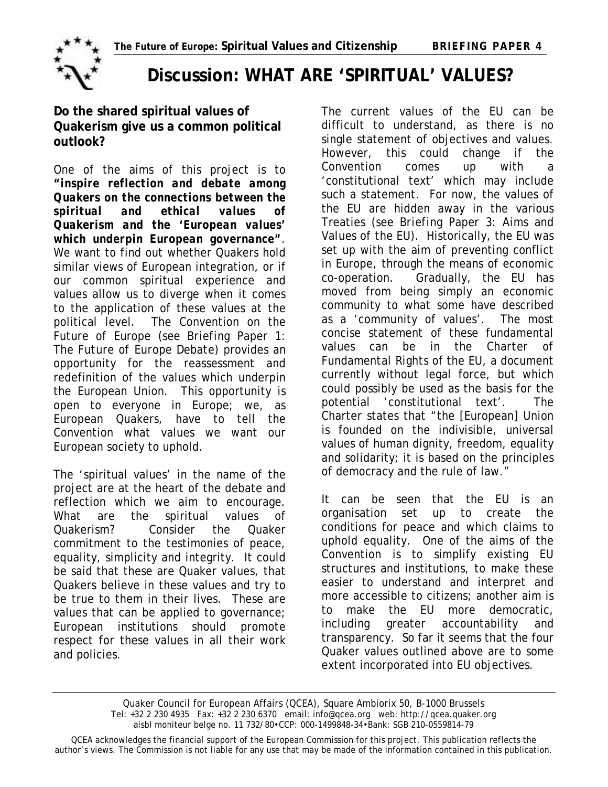

## **Discussion: WHAT ARE 'SPIRITUAL' VALUES?**

## **Do the shared spiritual values of Quakerism give us a common political outlook?**

One of the aims of this project is to *"inspire reflection and debate among Quakers on the connections between the spiritual and ethical values of Quakerism and the 'European values' which underpin European governance"*. We want to find out whether Quakers hold similar views of European integration, or if our common spiritual experience and values allow us to diverge when it comes to the application of these values at the political level. The Convention on the Future of Europe *(see Briefing Paper 1: The Future of Europe Debate)* provides an opportunity for the reassessment and redefinition of the values which underpin the European Union. This opportunity is open to everyone in Europe; we, as European Quakers, have to tell the Convention what values we want our European society to uphold.

The 'spiritual values' in the name of the project are at the heart of the debate and reflection which we aim to encourage. What are the spiritual values of Quakerism? Consider the Quaker commitment to the testimonies of peace, equality, simplicity and integrity. It could be said that these are Quaker values, that Quakers believe in these values and try to be true to them in their lives. These are values that can be applied to governance; European institutions should promote respect for these values in all their work and policies.

The current values of the EU can be difficult to understand, as there is no single statement of objectives and values. However, this could change if the Convention comes up with a 'constitutional text' which may include such a statement. For now, the values of the EU are hidden away in the various Treaties *(see Briefing Paper 3: Aims and Values of the EU)*. Historically, the EU was set up with the aim of preventing conflict in Europe, through the means of economic co-operation. Gradually, the EU has moved from being simply an economic community to what some have described as a 'community of values'. The most concise statement of these fundamental values can be in the *Charter of Fundamental Rights* of the EU, a document currently without legal force, but which could possibly be used as the basis for the potential 'constitutional text'. The Charter states that "the [European] Union is founded on the indivisible, universal values of human dignity, freedom, equality and solidarity; it is based on the principles of democracy and the rule of law."

It can be seen that the EU is an organisation set up to create the conditions for peace and which claims to uphold equality. One of the aims of the Convention is to simplify existing EU structures and institutions, to make these easier to understand and interpret and more accessible to citizens; another aim is to make the EU more democratic, including greater accountability and transparency. So far it seems that the four Quaker values outlined above are to some extent incorporated into EU objectives.

Quaker Council for European Affairs (QCEA), Square Ambiorix 50, B-1000 Brussels Tel: +32 2 230 4935 Fax: +32 2 230 6370 email: info@qcea.org web: http://qcea.quaker.org aisbl moniteur belge no. 11 732/80•CCP: 000-1499848-34•Bank: SGB 210-0559814-79

QCEA acknowledges the financial support of the European Commission for this project. This publication reflects the author's views. The Commission is not liable for any use that may be made of the information contained in this publication.